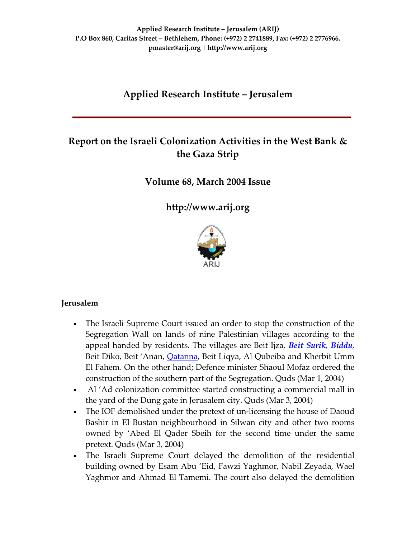# **Applied Research Institute – Jerusalem**

# **Report on the Israeli Colonization Activities in the West Bank & the Gaza Strip**

**Volume 68, March 2004 Issue**

**[http://www.arij.org](http://www.arij.org/)**



### **Jerusalem**

- The Israeli Supreme Court issued an order to stop the construction of the Segregation Wall on lands of nine Palestinian villages according to the appeal handed by residents. The villages are Beit Ijza, *Beit Surik, [Biddu](http://www.poica.org/editor/case_studies/view.php?recordID=494)*, Beit Diko, Beit 'Anan, *[Qatanna](http://www.poica.org/editor/case_studies/view.php?recordID=494)*, Beit Liqya, Al Qubeiba and Kherbit Umm El Fahem. On the other hand; Defence minister Shaoul Mofaz ordered the construction of the southern part of the Segregation. Quds (Mar 1, 2004)
- Al 'Ad colonization committee started constructing a commercial mall in the yard of the Dung gate in Jerusalem city. Quds (Mar 3, 2004)
- The IOF demolished under the pretext of un-licensing the house of Daoud Bashir in El Bustan neighbourhood in Silwan city and other two rooms owned by 'Abed El Qader Sbeih for the second time under the same pretext. Quds (Mar 3, 2004)
- The Israeli Supreme Court delayed the demolition of the residential building owned by Esam Abu 'Eid, Fawzi Yaghmor, Nabil Zeyada, Wael Yaghmor and Ahmad El Tamemi. The court also delayed the demolition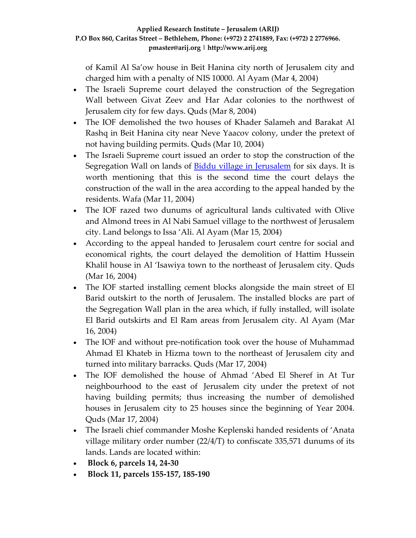of Kamil Al Sa'ow house in Beit Hanina city north of Jerusalem city and charged him with a penalty of NIS 10000. Al Ayam (Mar 4, 2004)

- The Israeli Supreme court delayed the construction of the Segregation Wall between Givat Zeev and Har Adar colonies to the northwest of Jerusalem city for few days. Quds (Mar 8, 2004)
- The IOF demolished the two houses of Khader Salameh and Barakat Al Rashq in Beit Hanina city near Neve Yaacov colony, under the pretext of not having building permits. Quds (Mar 10, 2004)
- The Israeli Supreme court issued an order to stop the construction of the Segregation Wall on lands of **Biddu village in [Jerusalem](http://www.poica.org/editor/case_studies/view.php?recordID=494)** for six days. It is worth mentioning that this is the second time the court delays the construction of the wall in the area according to the appeal handed by the residents. Wafa (Mar 11, 2004)
- The IOF razed two dunums of agricultural lands cultivated with Olive and Almond trees in Al Nabi Samuel village to the northwest of Jerusalem city. Land belongs to Issa 'Ali. Al Ayam (Mar 15, 2004)
- According to the appeal handed to Jerusalem court centre for social and economical rights, the court delayed the demolition of Hattim Hussein Khalil house in Al 'Isawiya town to the northeast of Jerusalem city. Quds (Mar 16, 2004)
- The IOF started installing cement blocks alongside the main street of El Barid outskirt to the north of Jerusalem. The installed blocks are part of the Segregation Wall plan in the area which, if fully installed, will isolate El Barid outskirts and El Ram areas from Jerusalem city. Al Ayam (Mar 16, 2004)
- The IOF and without pre-notification took over the house of Muhammad Ahmad El Khateb in Hizma town to the northeast of Jerusalem city and turned into military barracks. Quds (Mar 17, 2004)
- The IOF demolished the house of Ahmad 'Abed El Sheref in At Tur neighbourhood to the east of Jerusalem city under the pretext of not having building permits; thus increasing the number of demolished houses in Jerusalem city to 25 houses since the beginning of Year 2004. Quds (Mar 17, 2004)
- The Israeli chief commander Moshe Keplenski handed residents of 'Anata village military order number (22/4/T) to confiscate 335,571 dunums of its lands. Lands are located within:
- **Block 6, parcels 14, 24‐30**
- **Block 11, parcels 155‐157, 185‐190**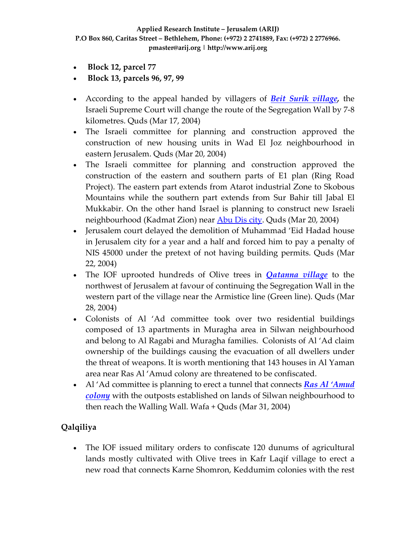- **Block 12, parcel 77**
- **Block 13, parcels 96, 97, 99**
- According to the appeal handed by villagers of *Beit Surik [village,](http://www.poica.org/editor/case_studies/view.php?recordID=494)* the Israeli Supreme Court will change the route of the Segregation Wall by 7‐8 kilometres. Quds (Mar 17, 2004)
- The Israeli committee for planning and construction approved the construction of new housing units in Wad El Joz neighbourhood in eastern Jerusalem. Quds (Mar 20, 2004)
- The Israeli committee for planning and construction approved the construction of the eastern and southern parts of E1 plan (Ring Road Project). The eastern part extends from Atarot industrial Zone to Skobous Mountains while the southern part extends from Sur Bahir till Jabal El Mukkabir. On the other hand Israel is planning to construct new Israeli neighbourhood (Kadmat Zion) near [Abu](http://www.poica.org/editor/case_studies/view.php?recordID=494) Dis city. Quds (Mar 20, 2004)
- Jerusalem court delayed the demolition of Muhammad 'Eid Hadad house in Jerusalem city for a year and a half and forced him to pay a penalty of NIS 45000 under the pretext of not having building permits. Quds (Mar 22, 2004)
- The IOF uprooted hundreds of Olive trees in *[Qatanna](http://www.poica.org/editor/case_studies/view.php?recordID=494) village* to the northwest of Jerusalem at favour of continuing the Segregation Wall in the western part of the village near the Armistice line (Green line). Quds (Mar 28, 2004)
- Colonists of Al 'Ad committee took over two residential buildings composed of 13 apartments in Muragha area in Silwan neighbourhood and belong to Al Ragabi and Muragha families. Colonists of Al 'Ad claim ownership of the buildings causing the evacuation of all dwellers under the threat of weapons. It is worth mentioning that 143 houses in Al Yaman area near Ras Al 'Amud colony are threatened to be confiscated.
- Al 'Ad committee is planning to erect a tunnel that connects *Ras Al ['Amud](http://www.poica.org/editor/case_studies/view.php?recordID=272) [colony](http://www.poica.org/editor/case_studies/view.php?recordID=272)* with the outposts established on lands of Silwan neighbourhood to then reach the Walling Wall. Wafa + Quds (Mar 31, 2004)

# **Qalqiliya**

• The IOF issued military orders to confiscate 120 dunums of agricultural lands mostly cultivated with Olive trees in Kafr Laqif village to erect a new road that connects Karne Shomron, Keddumim colonies with the rest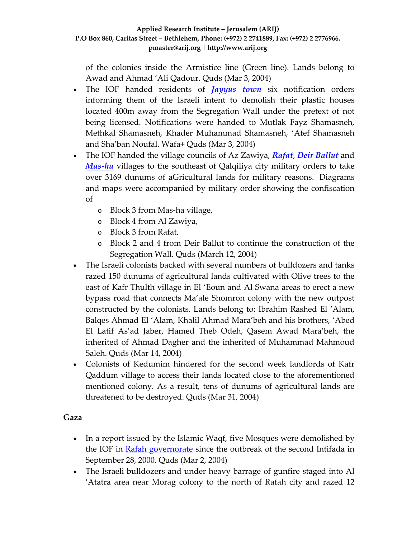of the colonies inside the Armistice line (Green line). Lands belong to Awad and Ahmad 'Ali Qadour. Quds (Mar 3, 2004)

- The IOF handed residents of *[Jayyus](http://www.poica.org/editor/case_studies/view.php?recordID=320) town* six notification orders informing them of the Israeli intent to demolish their plastic houses located 400m away from the Segregation Wall under the pretext of not being licensed. Notifications were handed to Mutlak Fayz Shamasneh, Methkal Shamasneh, Khader Muhammad Shamasneh, 'Afef Shamasneh and Sha'ban Noufal. Wafa+ Quds (Mar 3, 2004)
- The IOF handed the village councils of Az Zawiya, *[Rafat](http://www.poica.org/editor/case_studies/view.php?recordID=287)*, *Deir [Ballut](http://www.poica.org/editor/case_studies/view.php?recordID=373)* and *[Mas](http://www.poica.org/editor/case_studies/view.php?recordID=377)‐ha* villages to the southeast of Qalqiliya city military orders to take over 3169 dunums of aGricultural lands for military reasons. Diagrams and maps were accompanied by military order showing the confiscation of
	- o Block 3 from Mas‐ha village,
	- o Block 4 from Al Zawiya,
	- o Block 3 from Rafat,
	- o Block 2 and 4 from Deir Ballut to continue the construction of the Segregation Wall. Quds (March 12, 2004)
- The Israeli colonists backed with several numbers of bulldozers and tanks razed 150 dunums of agricultural lands cultivated with Olive trees to the east of Kafr Thulth village in El 'Eoun and Al Swana areas to erect a new bypass road that connects Ma'ale Shomron colony with the new outpost constructed by the colonists. Lands belong to: Ibrahim Rashed El 'Alam, Balqes Ahmad El 'Alam, Khalil Ahmad Mara'beh and his brothers, 'Abed El Latif As'ad Jaber, Hamed Theb Odeh, Qasem Awad Mara'beh, the inherited of Ahmad Dagher and the inherited of Muhammad Mahmoud Saleh. Quds (Mar 14, 2004)
- Colonists of Kedumim hindered for the second week landlords of Kafr Qaddum village to access their lands located close to the aforementioned mentioned colony. As a result, tens of dunums of agricultural lands are threatened to be destroyed. Quds (Mar 31, 2004)

### **Gaza**

- In a report issued by the Islamic Waqf, five Mosques were demolished by the IOF in Rafah [governorate](http://www.poica.org/editor/case_studies/view.php?recordID=307) since the outbreak of the second Intifada in September 28, 2000. Quds (Mar 2, 2004)
- The Israeli bulldozers and under heavy barrage of gunfire staged into Al 'Atatra area near Morag colony to the north of Rafah city and razed 12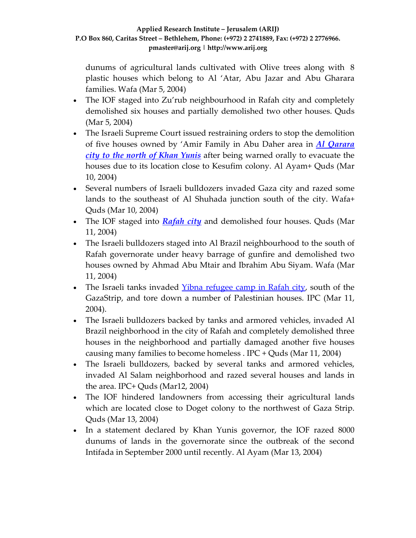dunums of agricultural lands cultivated with Olive trees along with 8 plastic houses which belong to Al 'Atar, Abu Jazar and Abu Gharara families. Wafa (Mar 5, 2004)

- The IOF staged into Zu'rub neighbourhood in Rafah city and completely demolished six houses and partially demolished two other houses. Quds (Mar 5, 2004)
- The Israeli Supreme Court issued restraining orders to stop the demolition of five houses owned by 'Amir Family in Abu Daher area in *Al [Qarara](http://www.poica.org/editor/case_studies/view.php?recordID=381) city to the north of Khan [Yunis](http://www.poica.org/editor/case_studies/view.php?recordID=381)* after being warned orally to evacuate the houses due to its location close to Kesufim colony. Al Ayam+ Quds (Mar 10, 2004)
- Several numbers of Israeli bulldozers invaded Gaza city and razed some lands to the southeast of Al Shuhada junction south of the city. Wafa+ Quds (Mar 10, 2004)
- The IOF staged into *[Rafah](http://www.poica.org/editor/case_studies/view.php?recordID=312) city* and demolished four houses. Quds (Mar 11, 2004)
- The Israeli bulldozers staged into Al Brazil neighbourhood to the south of Rafah governorate under heavy barrage of gunfire and demolished two houses owned by Ahmad Abu Mtair and Ibrahim Abu Siyam. Wafa (Mar 11, 2004)
- The Israeli tanks invaded Yibna [refugee](http://www.poica.org/editor/case_studies/view.php?recordID=303) camp in Rafah city, south of the GazaStrip, and tore down a number of Palestinian houses. IPC (Mar 11, 2004).
- The Israeli bulldozers backed by tanks and armored vehicles, invaded Al Brazil neighborhood in the city of Rafah and completely demolished three houses in the neighborhood and partially damaged another five houses causing many families to become homeless . IPC + Quds (Mar 11, 2004)
- The Israeli bulldozers, backed by several tanks and armored vehicles, invaded Al Salam neighborhood and razed several houses and lands in the area. IPC+ Quds (Mar12, 2004)
- The IOF hindered landowners from accessing their agricultural lands which are located close to Doget colony to the northwest of Gaza Strip. Quds (Mar 13, 2004)
- In a statement declared by Khan Yunis governor, the IOF razed 8000 dunums of lands in the governorate since the outbreak of the second Intifada in September 2000 until recently. Al Ayam (Mar 13, 2004)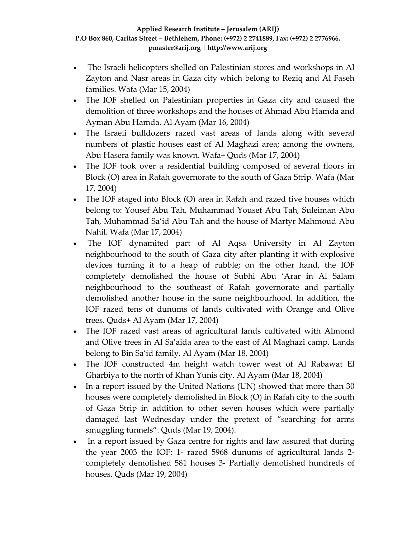- The Israeli helicopters shelled on Palestinian stores and workshops in Al Zayton and Nasr areas in Gaza city which belong to Reziq and Al Faseh families. Wafa (Mar 15, 2004)
- The IOF shelled on Palestinian properties in Gaza city and caused the demolition of three workshops and the houses of Ahmad Abu Hamda and Ayman Abu Hamda. Al Ayam (Mar 16, 2004)
- The Israeli bulldozers razed vast areas of lands along with several numbers of plastic houses east of Al Maghazi area; among the owners, Abu Hasera family was known. Wafa+ Quds (Mar 17, 2004)
- The IOF took over a residential building composed of several floors in Block (O) area in Rafah governorate to the south of Gaza Strip. Wafa (Mar 17, 2004)
- The IOF staged into Block (O) area in Rafah and razed five houses which belong to: Yousef Abu Tah, Muhammad Yousef Abu Tah, Suleiman Abu Tah, Muhammad Sa'id Abu Tah and the house of Martyr Mahmoud Abu Nahil. Wafa (Mar 17, 2004)
- The IOF dynamited part of Al Aqsa University in Al Zayton neighbourhood to the south of Gaza city after planting it with explosive devices turning it to a heap of rubble; on the other hand, the IOF completely demolished the house of Subhi Abu 'Arar in Al Salam neighbourhood to the southeast of Rafah governorate and partially demolished another house in the same neighbourhood. In addition, the IOF razed tens of dunums of lands cultivated with Orange and Olive trees. Quds+ Al Ayam (Mar 17, 2004)
- The IOF razed vast areas of agricultural lands cultivated with Almond and Olive trees in Al Sa'aida area to the east of Al Maghazi camp. Lands belong to Bin Sa'id family. Al Ayam (Mar 18, 2004)
- The IOF constructed 4m height watch tower west of Al Rabawat El Gharbiya to the north of Khan Yunis city. Al Ayam (Mar 18, 2004)
- In a report issued by the United Nations (UN) showed that more than 30 houses were completely demolished in Block (O) in Rafah city to the south of Gaza Strip in addition to other seven houses which were partially damaged last Wednesday under the pretext of "searching for arms smuggling tunnels". Quds (Mar 19, 2004).
- In a report issued by Gaza centre for rights and law assured that during the year 2003 the IOF: 1‐ razed 5968 dunums of agricultural lands 2‐ completely demolished 581 houses 3‐ Partially demolished hundreds of houses. Quds (Mar 19, 2004)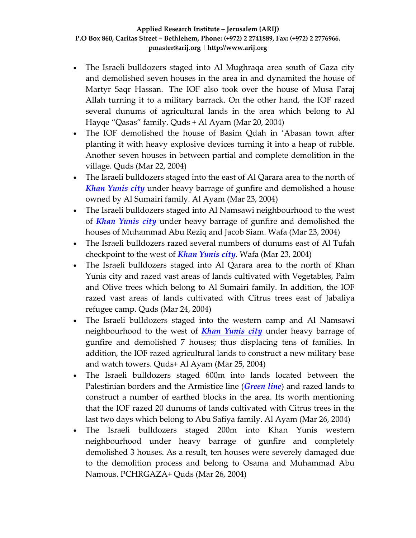- The Israeli bulldozers staged into Al Mughraqa area south of Gaza city and demolished seven houses in the area in and dynamited the house of Martyr Saqr Hassan. The IOF also took over the house of Musa Faraj Allah turning it to a military barrack. On the other hand, the IOF razed several dunums of agricultural lands in the area which belong to Al Hayqe "Qasas" family. Quds + Al Ayam (Mar 20, 2004)
- The IOF demolished the house of Basim Qdah in 'Abasan town after planting it with heavy explosive devices turning it into a heap of rubble. Another seven houses in between partial and complete demolition in the village. Quds (Mar 22, 2004)
- The Israeli bulldozers staged into the east of Al Qarara area to the north of *Khan [Yunis](http://www.poica.org/editor/case_studies/view.php?recordID=381) city* under heavy barrage of gunfire and demolished a house owned by Al Sumairi family. Al Ayam (Mar 23, 2004)
- The Israeli bulldozers staged into Al Namsawi neighbourhood to the west of *Khan [Yunis](http://www.poica.org/editor/case_studies/view.php?recordID=381) city* under heavy barrage of gunfire and demolished the houses of Muhammad Abu Reziq and Jacob Siam. Wafa (Mar 23, 2004)
- The Israeli bulldozers razed several numbers of dunums east of Al Tufah checkpoint to the west of *Khan [Yunis](http://www.poica.org/editor/case_studies/view.php?recordID=381) city*. Wafa (Mar 23, 2004)
- The Israeli bulldozers staged into Al Qarara area to the north of Khan Yunis city and razed vast areas of lands cultivated with Vegetables, Palm and Olive trees which belong to Al Sumairi family. In addition, the IOF razed vast areas of lands cultivated with Citrus trees east of Jabaliya refugee camp. Quds (Mar 24, 2004)
- The Israeli bulldozers staged into the western camp and Al Namsawi neighbourhood to the west of *Khan [Yunis](http://www.poica.org/editor/case_studies/view.php?recordID=381) city* under heavy barrage of gunfire and demolished 7 houses; thus displacing tens of families. In addition, the IOF razed agricultural lands to construct a new military base and watch towers. Quds+ Al Ayam (Mar 25, 2004)
- The Israeli bulldozers staged 600m into lands located between the Palestinian borders and the Armistice line (*[Green](http://www.poica.org/glossary/glossary.php#a3) line*) and razed lands to construct a number of earthed blocks in the area. Its worth mentioning that the IOF razed 20 dunums of lands cultivated with Citrus trees in the last two days which belong to Abu Safiya family. Al Ayam (Mar 26, 2004)
- The Israeli bulldozers staged 200m into Khan Yunis western neighbourhood under heavy barrage of gunfire and completely demolished 3 houses. As a result, ten houses were severely damaged due to the demolition process and belong to Osama and Muhammad Abu Namous. PCHRGAZA+ Quds (Mar 26, 2004)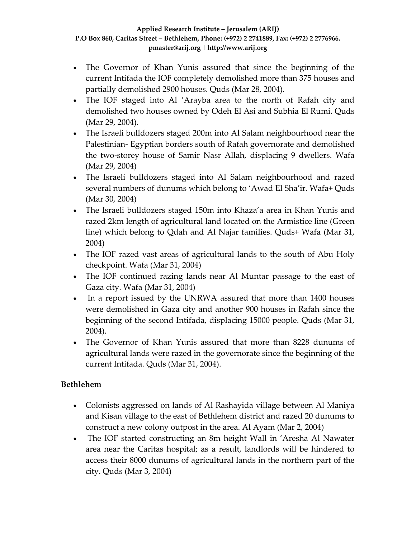- The Governor of Khan Yunis assured that since the beginning of the current Intifada the IOF completely demolished more than 375 houses and partially demolished 2900 houses. Quds (Mar 28, 2004).
- The IOF staged into Al 'Arayba area to the north of Rafah city and demolished two houses owned by Odeh El Asi and Subhia El Rumi. Quds (Mar 29, 2004).
- The Israeli bulldozers staged 200m into Al Salam neighbourhood near the Palestinian‐ Egyptian borders south of Rafah governorate and demolished the two‐storey house of Samir Nasr Allah, displacing 9 dwellers. Wafa (Mar 29, 2004)
- The Israeli bulldozers staged into Al Salam neighbourhood and razed several numbers of dunums which belong to 'Awad El Sha'ir. Wafa+ Quds (Mar 30, 2004)
- The Israeli bulldozers staged 150m into Khaza'a area in Khan Yunis and razed 2km length of agricultural land located on the Armistice line (Green line) which belong to Qdah and Al Najar families. Quds+ Wafa (Mar 31, 2004)
- The IOF razed vast areas of agricultural lands to the south of Abu Holy checkpoint. Wafa (Mar 31, 2004)
- The IOF continued razing lands near Al Muntar passage to the east of Gaza city. Wafa (Mar 31, 2004)
- In a report issued by the UNRWA assured that more than 1400 houses were demolished in Gaza city and another 900 houses in Rafah since the beginning of the second Intifada, displacing 15000 people. Quds (Mar 31, 2004).
- The Governor of Khan Yunis assured that more than 8228 dunums of agricultural lands were razed in the governorate since the beginning of the current Intifada. Quds (Mar 31, 2004).

## **Bethlehem**

- Colonists aggressed on lands of Al Rashayida village between Al Maniya and Kisan village to the east of Bethlehem district and razed 20 dunums to construct a new colony outpost in the area. Al Ayam (Mar 2, 2004)
- The IOF started constructing an 8m height Wall in 'Aresha Al Nawater area near the Caritas hospital; as a result, landlords will be hindered to access their 8000 dunums of agricultural lands in the northern part of the city. Quds (Mar 3, 2004)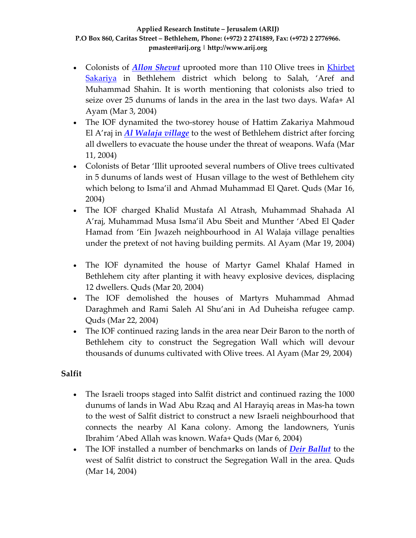- Colonists of *Allon [Shevut](http://www.poica.org/editor/case_studies/view.php?recordID=372)* uprooted more than 110 Olive trees in [Khirbet](http://www.poica.org/editor/case_studies/view.php?recordID=372) [Sakariya](http://www.poica.org/editor/case_studies/view.php?recordID=372) in Bethlehem district which belong to Salah, 'Aref and Muhammad Shahin. It is worth mentioning that colonists also tried to seize over 25 dunums of lands in the area in the last two days. Wafa+ Al Ayam (Mar 3, 2004)
- The IOF dynamited the two-storey house of Hattim Zakariya Mahmoud El A'raj in *Al [Walaja](http://www.poica.org/editor/case_studies/view.php?recordID=372) village* to the west of Bethlehem district after forcing all dwellers to evacuate the house under the threat of weapons. Wafa (Mar 11, 2004)
- Colonists of Betar 'Illit uprooted several numbers of Olive trees cultivated in 5 dunums of lands west of Husan village to the west of Bethlehem city which belong to Isma'il and Ahmad Muhammad El Qaret. Quds (Mar 16, 2004)
- The IOF charged Khalid Mustafa Al Atrash, Muhammad Shahada Al A'raj, Muhammad Musa Isma'il Abu Sbeit and Munther 'Abed El Qader Hamad from 'Ein Jwazeh neighbourhood in Al Walaja village penalties under the pretext of not having building permits. Al Ayam (Mar 19, 2004)
- The IOF dynamited the house of Martyr Gamel Khalaf Hamed in Bethlehem city after planting it with heavy explosive devices, displacing 12 dwellers. Quds (Mar 20, 2004)
- The IOF demolished the houses of Martyrs Muhammad Ahmad Daraghmeh and Rami Saleh Al Shu'ani in Ad Duheisha refugee camp. Quds (Mar 22, 2004)
- The IOF continued razing lands in the area near Deir Baron to the north of Bethlehem city to construct the Segregation Wall which will devour thousands of dunums cultivated with Olive trees. Al Ayam (Mar 29, 2004)

## **Salfit**

- The Israeli troops staged into Salfit district and continued razing the 1000 dunums of lands in Wad Abu Rzaq and Al Harayiq areas in Mas‐ha town to the west of Salfit district to construct a new Israeli neighbourhood that connects the nearby Al Kana colony. Among the landowners, Yunis Ibrahim 'Abed Allah was known. Wafa+ Quds (Mar 6, 2004)
- The IOF installed a number of benchmarks on lands of *Deir [Ballut](http://www.poica.org/editor/case_studies/view.php?recordID=373)* to the west of Salfit district to construct the Segregation Wall in the area. Quds (Mar 14, 2004)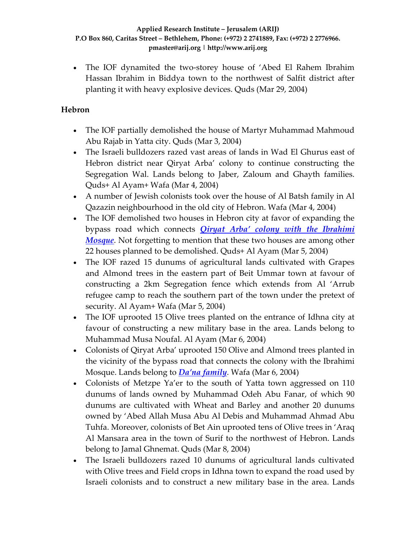• The IOF dynamited the two-storey house of 'Abed El Rahem Ibrahim Hassan Ibrahim in Biddya town to the northwest of Salfit district after planting it with heavy explosive devices. Quds (Mar 29, 2004)

## **Hebron**

- The IOF partially demolished the house of Martyr Muhammad Mahmoud Abu Rajab in Yatta city. Quds (Mar 3, 2004)
- The Israeli bulldozers razed vast areas of lands in Wad El Ghurus east of Hebron district near Qiryat Arba' colony to continue constructing the Segregation Wal. Lands belong to Jaber, Zaloum and Ghayth families. Quds+ Al Ayam+ Wafa (Mar 4, 2004)
- A number of Jewish colonists took over the house of Al Batsh family in Al Qazazin neighbourhood in the old city of Hebron. Wafa (Mar 4, 2004)
- The IOF demolished two houses in Hebron city at favor of expanding the bypass road which connects *Qiryat Arba' colony with the [Ibrahimi](http://www.poica.org/editor/case_studies/view.php?recordID=376) [Mosque](http://www.poica.org/editor/case_studies/view.php?recordID=376)*. Not forgetting to mention that these two houses are among other 22 houses planned to be demolished. Quds+ Al Ayam (Mar 5, 2004)
- The IOF razed 15 dunums of agricultural lands cultivated with Grapes and Almond trees in the eastern part of Beit Ummar town at favour of constructing a 2km Segregation fence which extends from Al 'Arrub refugee camp to reach the southern part of the town under the pretext of security. Al Ayam+ Wafa (Mar 5, 2004)
- The IOF uprooted 15 Olive trees planted on the entrance of Idhna city at favour of constructing a new military base in the area. Lands belong to Muhammad Musa Noufal. Al Ayam (Mar 6, 2004)
- Colonists of Qiryat Arba' uprooted 150 Olive and Almond trees planted in the vicinity of the bypass road that connects the colony with the Ibrahimi Mosque. Lands belong to *Da'na [family](http://www.poica.org/editor/case_studies/view.php?recordID=278)*. Wafa (Mar 6, 2004)
- Colonists of Metzpe Ya'er to the south of Yatta town aggressed on 110 dunums of lands owned by Muhammad Odeh Abu Fanar, of which 90 dunums are cultivated with Wheat and Barley and another 20 dunums owned by 'Abed Allah Musa Abu Al Debis and Muhammad Ahmad Abu Tuhfa. Moreover, colonists of Bet Ain uprooted tens of Olive trees in 'Araq Al Mansara area in the town of Surif to the northwest of Hebron. Lands belong to Jamal Ghnemat. Quds (Mar 8, 2004)
- The Israeli bulldozers razed 10 dunums of agricultural lands cultivated with Olive trees and Field crops in Idhna town to expand the road used by Israeli colonists and to construct a new military base in the area. Lands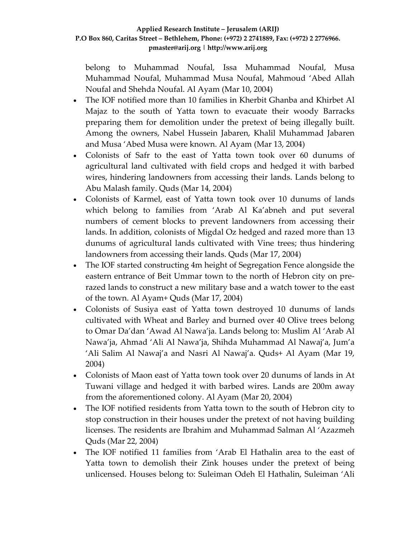belong to Muhammad Noufal, Issa Muhammad Noufal, Musa Muhammad Noufal, Muhammad Musa Noufal, Mahmoud 'Abed Allah Noufal and Shehda Noufal. Al Ayam (Mar 10, 2004)

- The IOF notified more than 10 families in Kherbit Ghanba and Khirbet Al Majaz to the south of Yatta town to evacuate their woody Barracks preparing them for demolition under the pretext of being illegally built. Among the owners, Nabel Hussein Jabaren, Khalil Muhammad Jabaren and Musa 'Abed Musa were known. Al Ayam (Mar 13, 2004)
- Colonists of Safr to the east of Yatta town took over 60 dunums of agricultural land cultivated with field crops and hedged it with barbed wires, hindering landowners from accessing their lands. Lands belong to Abu Malash family. Quds (Mar 14, 2004)
- Colonists of Karmel, east of Yatta town took over 10 dunums of lands which belong to families from 'Arab Al Ka'abneh and put several numbers of cement blocks to prevent landowners from accessing their lands. In addition, colonists of Migdal Oz hedged and razed more than 13 dunums of agricultural lands cultivated with Vine trees; thus hindering landowners from accessing their lands. Quds (Mar 17, 2004)
- The IOF started constructing 4m height of Segregation Fence alongside the eastern entrance of Beit Ummar town to the north of Hebron city on pre‐ razed lands to construct a new military base and a watch tower to the east of the town. Al Ayam+ Quds (Mar 17, 2004)
- Colonists of Susiya east of Yatta town destroyed 10 dunums of lands cultivated with Wheat and Barley and burned over 40 Olive trees belong to Omar Da'dan 'Awad Al Nawa'ja. Lands belong to: Muslim Al 'Arab Al Nawa'ja, Ahmad 'Ali Al Nawa'ja, Shihda Muhammad Al Nawaj'a, Jum'a 'Ali Salim Al Nawaj'a and Nasri Al Nawaj'a. Quds+ Al Ayam (Mar 19, 2004)
- Colonists of Maon east of Yatta town took over 20 dunums of lands in At Tuwani village and hedged it with barbed wires. Lands are 200m away from the aforementioned colony. Al Ayam (Mar 20, 2004)
- The IOF notified residents from Yatta town to the south of Hebron city to stop construction in their houses under the pretext of not having building licenses. The residents are Ibrahim and Muhammad Salman Al 'Azazmeh Quds (Mar 22, 2004)
- The IOF notified 11 families from 'Arab El Hathalin area to the east of Yatta town to demolish their Zink houses under the pretext of being unlicensed. Houses belong to: Suleiman Odeh El Hathalin, Suleiman 'Ali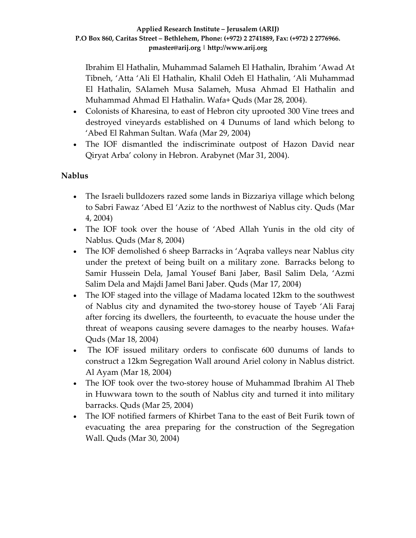Ibrahim El Hathalin, Muhammad Salameh El Hathalin, Ibrahim 'Awad At Tibneh, 'Atta 'Ali El Hathalin, Khalil Odeh El Hathalin, 'Ali Muhammad El Hathalin, SAlameh Musa Salameh, Musa Ahmad El Hathalin and Muhammad Ahmad El Hathalin. Wafa+ Quds (Mar 28, 2004).

- Colonists of Kharesina, to east of Hebron city uprooted 300 Vine trees and destroyed vineyards established on 4 Dunums of land which belong to 'Abed El Rahman Sultan. Wafa (Mar 29, 2004)
- The IOF dismantled the indiscriminate outpost of Hazon David near Qiryat Arba' colony in Hebron. Arabynet (Mar 31, 2004).

## **Nablus**

- The Israeli bulldozers razed some lands in Bizzariya village which belong to Sabri Fawaz 'Abed El 'Aziz to the northwest of Nablus city. Quds (Mar 4, 2004)
- The IOF took over the house of 'Abed Allah Yunis in the old city of Nablus. Quds (Mar 8, 2004)
- The IOF demolished 6 sheep Barracks in 'Aqraba valleys near Nablus city under the pretext of being built on a military zone. Barracks belong to Samir Hussein Dela, Jamal Yousef Bani Jaber, Basil Salim Dela, 'Azmi Salim Dela and Majdi Jamel Bani Jaber. Quds (Mar 17, 2004)
- The IOF staged into the village of Madama located 12km to the southwest of Nablus city and dynamited the two‐storey house of Tayeb 'Ali Faraj after forcing its dwellers, the fourteenth, to evacuate the house under the threat of weapons causing severe damages to the nearby houses. Wafa+ Quds (Mar 18, 2004)
- The IOF issued military orders to confiscate 600 dunums of lands to construct a 12km Segregation Wall around Ariel colony in Nablus district. Al Ayam (Mar 18, 2004)
- The IOF took over the two-storey house of Muhammad Ibrahim Al Theb in Huwwara town to the south of Nablus city and turned it into military barracks. Quds (Mar 25, 2004)
- The IOF notified farmers of Khirbet Tana to the east of Beit Furik town of evacuating the area preparing for the construction of the Segregation Wall. Quds (Mar 30, 2004)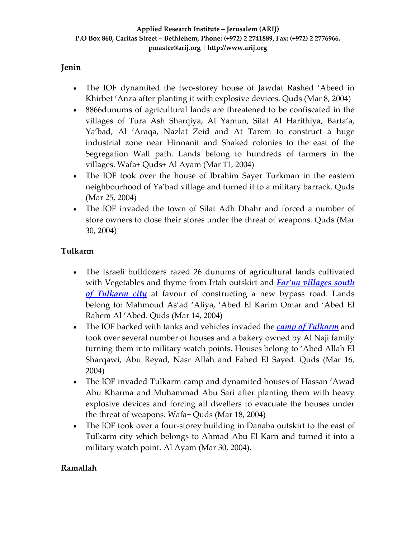## **Jenin**

- The IOF dynamited the two-storey house of Jawdat Rashed 'Abeed in Khirbet 'Anza after planting it with explosive devices. Quds (Mar 8, 2004)
- 8866dunums of agricultural lands are threatened to be confiscated in the villages of Tura Ash Sharqiya, Al Yamun, Silat Al Harithiya, Barta'a, Ya'bad, Al 'Araqa, Nazlat Zeid and At Tarem to construct a huge industrial zone near Hinnanit and Shaked colonies to the east of the Segregation Wall path. Lands belong to hundreds of farmers in the villages. Wafa+ Quds+ Al Ayam (Mar 11, 2004)
- The IOF took over the house of Ibrahim Sayer Turkman in the eastern neighbourhood of Ya'bad village and turned it to a military barrack. Quds (Mar 25, 2004)
- The IOF invaded the town of Silat Adh Dhahr and forced a number of store owners to close their stores under the threat of weapons. Quds (Mar 30, 2004)

## **Tulkarm**

- The Israeli bulldozers razed 26 dunums of agricultural lands cultivated with Vegetables and thyme from Irtah outskirt and *Far'un [villages](http://www.poica.org/editor/case_studies/view.php?recordID=295) south of [Tulkarm](http://www.poica.org/editor/case_studies/view.php?recordID=295) city* at favour of constructing a new bypass road. Lands belong to: Mahmoud As'ad 'Aliya, 'Abed El Karim Omar and 'Abed El Rahem Al 'Abed. Quds (Mar 14, 2004)
- The IOF backed with tanks and vehicles invaded the *camp of [Tulkarm](http://www.poica.org/editor/case_studies/view.php?recordID=262)* and took over several number of houses and a bakery owned by Al Naji family turning them into military watch points. Houses belong to 'Abed Allah El Sharqawi, Abu Reyad, Nasr Allah and Fahed El Sayed. Quds (Mar 16, 2004)
- The IOF invaded Tulkarm camp and dynamited houses of Hassan 'Awad Abu Kharma and Muhammad Abu Sari after planting them with heavy explosive devices and forcing all dwellers to evacuate the houses under the threat of weapons. Wafa+ Quds (Mar 18, 2004)
- The IOF took over a four-storey building in Danaba outskirt to the east of Tulkarm city which belongs to Ahmad Abu El Karn and turned it into a military watch point. Al Ayam (Mar 30, 2004).

## **Ramallah**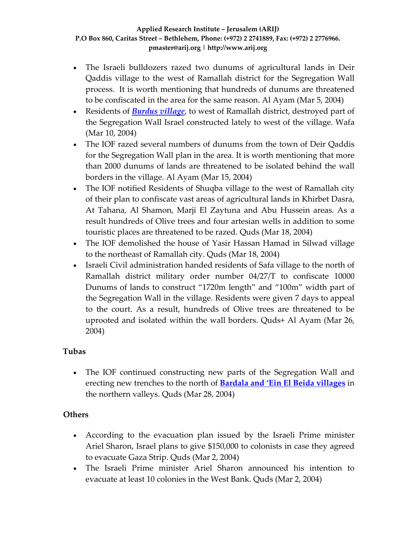- The Israeli bulldozers razed two dunums of agricultural lands in Deir Qaddis village to the west of Ramallah district for the Segregation Wall process. It is worth mentioning that hundreds of dunums are threatened to be confiscated in the area for the same reason. Al Ayam (Mar 5, 2004)
- Residents of *[Burdus](http://www.poica.org/editor/case_studies/view.php?recordID=335) village*, to west of Ramallah district, destroyed part of the Segregation Wall Israel constructed lately to west of the village. Wafa (Mar 10, 2004)
- The IOF razed several numbers of dunums from the town of Deir Qaddis for the Segregation Wall plan in the area. It is worth mentioning that more than 2000 dunums of lands are threatened to be isolated behind the wall borders in the village. Al Ayam (Mar 15, 2004)
- The IOF notified Residents of Shuqba village to the west of Ramallah city of their plan to confiscate vast areas of agricultural lands in Khirbet Dasra, At Tahana, Al Shamon, Marji El Zaytuna and Abu Hussein areas. As a result hundreds of Olive trees and four artesian wells in addition to some touristic places are threatened to be razed. Quds (Mar 18, 2004)
- The IOF demolished the house of Yasir Hassan Hamad in Silwad village to the northeast of Ramallah city. Quds (Mar 18, 2004)
- Israeli Civil administration handed residents of Safa village to the north of Ramallah district military order number 04/27/T to confiscate 10000 Dunums of lands to construct "1720m length" and "100m" width part of the Segregation Wall in the village. Residents were given 7 days to appeal to the court. As a result, hundreds of Olive trees are threatened to be uprooted and isolated within the wall borders. Quds+ Al Ayam (Mar 26, 2004)

## **Tubas**

• The IOF continued constructing new parts of the Segregation Wall and erecting new trenches to the north of **Bardala and 'Ein El Beida [villages](http://www.poica.org/editor/case_studies/view.php?recordID=322)** in the northern valleys. Quds (Mar 28, 2004)

## **Others**

- According to the evacuation plan issued by the Israeli Prime minister Ariel Sharon, Israel plans to give \$150,000 to colonists in case they agreed to evacuate Gaza Strip. Quds (Mar 2, 2004)
- The Israeli Prime minister Ariel Sharon announced his intention to evacuate at least 10 colonies in the West Bank. Quds (Mar 2, 2004)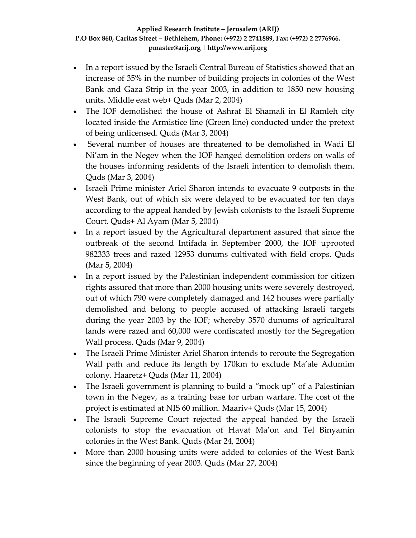- In a report issued by the Israeli Central Bureau of Statistics showed that an increase of 35% in the number of building projects in colonies of the West Bank and Gaza Strip in the year 2003, in addition to 1850 new housing units. Middle east web+ Quds (Mar 2, 2004)
- The IOF demolished the house of Ashraf El Shamali in El Ramleh city located inside the Armistice line (Green line) conducted under the pretext of being unlicensed. Quds (Mar 3, 2004)
- Several number of houses are threatened to be demolished in Wadi El Ni'am in the Negev when the IOF hanged demolition orders on walls of the houses informing residents of the Israeli intention to demolish them. Quds (Mar 3, 2004)
- Israeli Prime minister Ariel Sharon intends to evacuate 9 outposts in the West Bank, out of which six were delayed to be evacuated for ten days according to the appeal handed by Jewish colonists to the Israeli Supreme Court. Quds+ Al Ayam (Mar 5, 2004)
- In a report issued by the Agricultural department assured that since the outbreak of the second Intifada in September 2000, the IOF uprooted 982333 trees and razed 12953 dunums cultivated with field crops. Quds (Mar 5, 2004)
- In a report issued by the Palestinian independent commission for citizen rights assured that more than 2000 housing units were severely destroyed, out of which 790 were completely damaged and 142 houses were partially demolished and belong to people accused of attacking Israeli targets during the year 2003 by the IOF; whereby 3570 dunums of agricultural lands were razed and 60,000 were confiscated mostly for the Segregation Wall process. Quds (Mar 9, 2004)
- The Israeli Prime Minister Ariel Sharon intends to reroute the Segregation Wall path and reduce its length by 170km to exclude Ma'ale Adumim colony. Haaretz+ Quds (Mar 11, 2004)
- The Israeli government is planning to build a "mock up" of a Palestinian town in the Negev, as a training base for urban warfare. The cost of the project is estimated at NIS 60 million. Maariv+ Quds (Mar 15, 2004)
- The Israeli Supreme Court rejected the appeal handed by the Israeli colonists to stop the evacuation of Havat Ma'on and Tel Binyamin colonies in the West Bank. Quds (Mar 24, 2004)
- More than 2000 housing units were added to colonies of the West Bank since the beginning of year 2003. Quds (Mar 27, 2004)